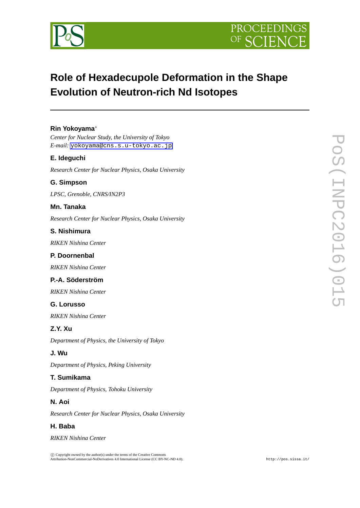



# **Role of Hexadecupole Deformation in the Shape Evolution of Neutron-rich Nd Isotopes**

## **Rin Yokoyama***∗*

*Center for Nuclear Study, the University of Tokyo E-mail:* [yokoyama@cns.s.u-tokyo.ac.jp](mailto:yokoyama@cns.s.u-tokyo.ac.jp)

### **E. Ideguchi**

*Research Center for Nuclear Physics, Osaka University*

#### **G. Simpson**

*LPSC, Grenoble, CNRS/IN2P3*

#### **Mn. Tanaka**

*Research Center for Nuclear Physics, Osaka University*

#### **S. Nishimura**

*RIKEN Nishina Center*

#### **P. Doornenbal**

*RIKEN Nishina Center*

## **P.-A. Söderström**

*RIKEN Nishina Center*

#### **G. Lorusso**

*RIKEN Nishina Center*

## **Z.Y. Xu**

*Department of Physics, the University of Tokyo*

#### **J. Wu**

*Department of Physics, Peking University*

### **T. Sumikama**

*Department of Physics, Tohoku University*

### **N. Aoi**

*Research Center for Nuclear Physics, Osaka University*

#### **H. Baba**

*RIKEN Nishina Center*

 $\circled{c}$  Copyright owned by the author(s) under the terms of the Creative Common Attribution-NonCommercial-NoDerivatives 4.0 International License (CC BY-NC-ND 4.0). http://pos.sissa.it/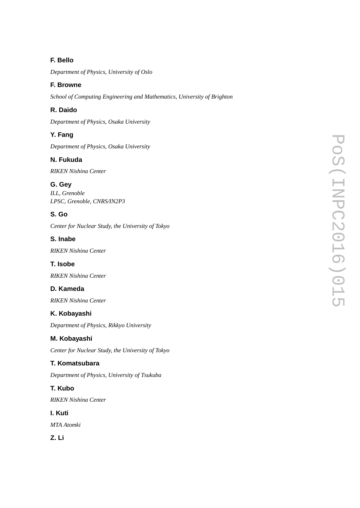# **F. Bello**

*Department of Physics, University of Oslo*

# **F. Browne**

*School of Computing Engineering and Mathematics, University of Brighton*

# **R. Daido**

*Department of Physics, Osaka University*

# **Y. Fang**

*Department of Physics, Osaka University*

# **N. Fukuda**

*RIKEN Nishina Center*

## **G. Gey**

*ILL, Grenoble LPSC, Grenoble, CNRS/IN2P3*

# **S. Go**

*Center for Nuclear Study, the University of Tokyo*

# **S. Inabe**

*RIKEN Nishina Center*

## **T. Isobe**

*RIKEN Nishina Center*

# **D. Kameda**

*RIKEN Nishina Center*

# **K. Kobayashi**

*Department of Physics, Rikkyo University*

# **M. Kobayashi**

*Center for Nuclear Study, the University of Tokyo*

# **T. Komatsubara**

*Department of Physics, University of Tsukuba*

# **T. Kubo**

*RIKEN Nishina Center*

## **I. Kuti**

*MTA Atomki*

**Z. Li**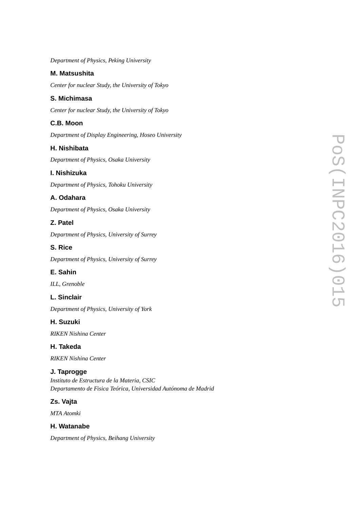*Department of Physics, Peking University*

### **M. Matsushita**

*Center for nuclear Study, the University of Tokyo*

## **S. Michimasa**

*Center for nuclear Study, the University of Tokyo*

# **C.B. Moon**

*Department of Display Engineering, Hoseo University*

## **H. Nishibata**

*Department of Physics, Osaka University*

## **I. Nishizuka**

*Department of Physics, Tohoku University*

# **A. Odahara**

*Department of Physics, Osaka University*

## **Z. Patel**

*Department of Physics, University of Surrey*

## **S. Rice**

*Department of Physics, University of Surrey*

# **E. Sahin**

*ILL, Grenoble*

### **L. Sinclair**

*Department of Physics, University of York*

### **H. Suzuki**

*RIKEN Nishina Center*

### **H. Takeda**

*RIKEN Nishina Center*

# **J. Taprogge**

*Instituto de Estructura de la Materia, CSIC Departamento de Fisica Teórica, Universidad Autónoma de Madrid*

# **Zs. Vajta**

*MTA Atomki*

### **H. Watanabe**

*Department of Physics, Beihang University*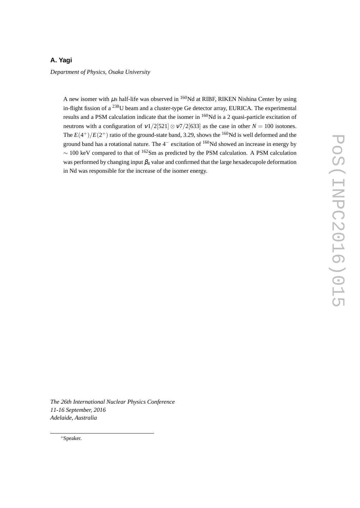# **A. Yagi**

*Department of Physics, Osaka University*

A new isomer with  $\mu$ s half-life was observed in <sup>160</sup>Nd at RIBF, RIKEN Nishina Center by using in-flight fission of a <sup>238</sup>U beam and a cluster-type Ge detector array, EURICA. The experimental results and a PSM calculation indicate that the isomer in <sup>160</sup>Nd is a 2 quasi-particle excitation of neutrons with a configuration of  $v1/2[521] \otimes v7/2[633]$  as the case in other  $N = 100$  isotones. The  $E(4^+)/E(2^+)$  ratio of the ground-state band, 3.29, shows the <sup>160</sup>Nd is well deformed and the ground band has a rotational nature. The 4<sup>−</sup> excitation of <sup>160</sup>Nd showed an increase in energy by *<sup>∼</sup>* <sup>100</sup> keV compared to that of <sup>162</sup>Sm as predicted by the PSM calculation. A PSM calculation was performed by changing input  $\beta_4$  value and confirmed that the large hexadecupole deformation in Nd was responsible for the increase of the isomer energy.

*The 26th International Nuclear Physics Conference 11-16 September, 2016 Adelaide, Australia*

*∗*Speaker.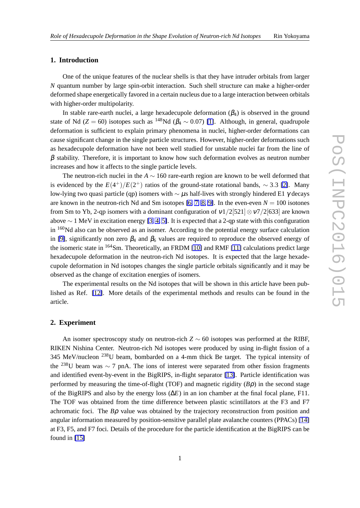#### **1. Introduction**

One of the unique features of the nuclear shells is that they have intruder orbitals from larger *N* quantum number by large spin-orbit interaction. Such shell structure can make a higher-order deformed shape energetically favored in a certain nucleus due to a large interaction between orbitals with higher-order multipolarity.

In stable rare-earth nuclei, a large hexadecupole deformation  $(\beta_4)$  is observed in the ground state of Nd ( $Z = 60$ ) isotopes such as <sup>148</sup>Nd ( $\beta_4 \sim 0.07$ ) [\[1\]](#page-8-0). Although, in general, quadrupole deformation is sufficient to explain primary phenomena in nuclei, higher-order deformations can cause significant change in the single particle structures. However, higher-order deformations such as hexadecupole deformation have not been well studied for unstable nuclei far from the line of  $\beta$  stability. Therefore, it is important to know how such deformation evolves as neutron number increases and how it affects to the single particle levels.

The neutron-rich nuclei in the *A ∼* 160 rare-earth region are known to be well deformed that is evidenced by the  $E(4^+)/E(2^+)$  ratios of the ground-state rotational bands,  $\sim$  3.3 [\[2\]](#page-8-0). Many low-lying two quasi particle (qp) isomers with *∼* <sup>µ</sup>s half-lives with strongly hindered E1 <sup>γ</sup> decays are known in the neutron-rich Nd and Sm isotopes [\[6,](#page-8-0) [7,](#page-8-0) [8,](#page-8-0) [9\]](#page-8-0). In the even-even  $N = 100$  isotones from Sm to Yb, 2-qp isomers with a dominant configuration of <sup>ν</sup>1*/*2[521]*⊗*<sup>ν</sup>7*/*2[633] are known above *∼* 1 MeV in excitation energy [\[3,](#page-8-0) [4,](#page-8-0) [5\]](#page-8-0). It is expected that a 2-qp state with this configuration in  $160$ Nd also can be observed as an isomer. According to the potential energy surface calculation in [\[9\]](#page-8-0), significantly non zero  $\beta_4$  and  $\beta_6$  values are required to reproduce the observed energy of the isomeric state in <sup>164</sup>Sm. Theoretically, an FRDM [\[10\]](#page-8-0) and RMF [\[11\]](#page-8-0) calculations predict large hexadecupole deformation in the neutron-rich Nd isotopes. It is expected that the large hexadecupole deformation in Nd isotopes changes the single particle orbitals significantly and it may be observed as the change of excitation energies of isomers.

The experimental results on the Nd isotopes that will be shown in this article have been published as Ref. [\[12\]](#page-8-0). More details of the experimental methods and results can be found in the article.

#### **2. Experiment**

An isomer spectroscopy study on neutron-rich  $Z \sim 60$  isotopes was performed at the RIBF, RIKEN Nishina Center. Neutron-rich Nd isotopes were produced by using in-flight fission of a 345 MeV/nucleon <sup>238</sup>U beam, bombarded on a 4-mm thick Be target. The typical intensity of the <sup>238</sup>U beam was *<sup>∼</sup>* <sup>7</sup> pnA. The ions of interest were separated from other fission fragments and identified event-by-event in the BigRIPS, in-flight separator [\[13\]](#page-8-0). Particle identification was performed by measuring the time-of-flight (TOF) and magnetic rigidity (*B*ρ) in the second stage of the BigRIPS and also by the energy loss (∆*E*) in an ion chamber at the final focal plane, F11. The TOF was obtained from the time difference between plastic scintillators at the F3 and F7 achromatic foci. The *B*ρ value was obtained by the trajectory reconstruction from position and angular information measured by position-sensitive parallel plate avalanche counters (PPACs) [\[14\]](#page-8-0) at F3, F5, and F7 foci. Details of the procedure for the particle identification at the BigRIPS can be found in [\[15\]](#page-8-0)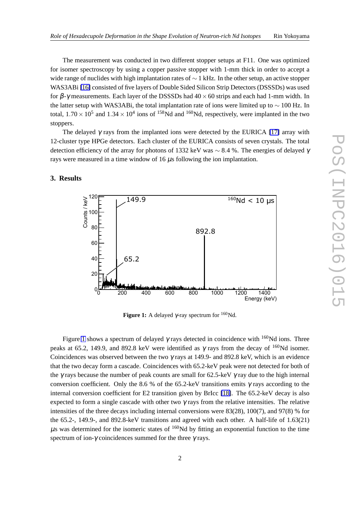The measurement was conducted in two different stopper setups at F11. One was optimized for isomer spectroscopy by using a copper passive stopper with 1-mm thick in order to accept a wide range of nuclides with high implantation rates of *∼* 1 kHz. In the other setup, an active stopper WAS3ABi [\[16\]](#page-8-0) consisted of five layers of Double Sided Silicon Strip Detectors (DSSSDs) was used for β-<sup>γ</sup> measurements. Each layer of the DSSSDs had 40*×*60 strips and each had 1-mm width. In the latter setup with WAS3ABi, the total implantation rate of ions were limited up to *∼* 100 Hz. In total,  $1.70 \times 10^5$  and  $1.34 \times 10^4$  ions of <sup>158</sup>Nd and <sup>160</sup>Nd, respectively, were implanted in the two stoppers.

The delayed  $\gamma$  rays from the implanted ions were detected by the EURICA [\[17\]](#page-8-0) array with 12-cluster type HPGe detectors. Each cluster of the EURICA consists of seven crystals. The total detection efficiency of the array for photons of 1332 keV was *∼* 8*.*4 %. The energies of delayed <sup>γ</sup> rays were measured in a time window of 16  $\mu$ s following the ion implantation.

# **3. Results**



**Figure 1:** A delayed  $\gamma$ -ray spectrum for <sup>160</sup>Nd.

Figure 1 shows a spectrum of delayed  $\gamma$  rays detected in coincidence with <sup>160</sup>Nd ions. Three peaks at 65.2, 149.9, and 892.8 keV were identified as  $\gamma$  rays from the decay of <sup>160</sup>Nd isomer. Coincidences was observed between the two  $\gamma$  rays at 149.9- and 892.8 keV, which is an evidence that the two decay form a cascade. Coincidences with 65.2-keV peak were not detected for both of the  $\gamma$  rays because the number of peak counts are small for 62.5-keV  $\gamma$  ray due to the high internal conversion coefficient. Only the 8.6 % of the 65.2-keV transitions emits  $\gamma$  rays according to the internal conversion coefficient for E2 transition given by BrIcc [\[18\]](#page-8-0). The 65.2-keV decay is also expected to form a single cascade with other two  $\gamma$  rays from the relative intensities. The relative intensities of the three decays including internal conversions were 83(28), 100(7), and 97(8) % for the 65.2-, 149.9-, and 892.8-keV transitions and agreed with each other. A half-life of 1.63(21)  $\mu$ s was determined for the isomeric states of <sup>160</sup>Nd by fitting an exponential function to the time spectrum of ion-γ coincidences summed for the three  $\gamma$  rays.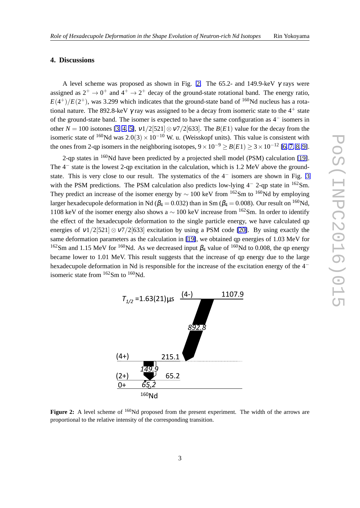#### **4. Discussions**

A level scheme was proposed as shown in Fig. 2. The 65.2- and 149.9-keV  $\gamma$  rays were assigned as  $2^+ \rightarrow 0^+$  and  $4^+ \rightarrow 2^+$  decay of the ground-state rotational band. The energy ratio,  $E(4^+)/E(2^+)$ , was 3.299 which indicates that the ground-state band of <sup>160</sup>Nd nucleus has a rotational nature. The 892.8-keV  $\gamma$  ray was assigned to be a decay from isomeric state to the 4<sup>+</sup> state of the ground-state band. The isomer is expected to have the same configuration as 4 *−* isomers in other  $N = 100$  isotones [\[3,](#page-8-0) [4,](#page-8-0) [5\]](#page-8-0),  $v1/2$ [521] $\otimes v7/2$ [633]. The  $B(E1)$  value for the decay from the isomeric state of <sup>160</sup>Nd was 2.0(3) × 10<sup>−10</sup> W. u. (Weisskopf units). This value is consistent with the ones from 2-qp isomers in the neighboring isotopes,  $9 \times 10^{-9} \ge B(E1) \ge 3 \times 10^{-12}$  [\[6,](#page-8-0) [7,](#page-8-0) [8,](#page-8-0) [9\]](#page-8-0).

2-qp states in <sup>160</sup>Nd have been predicted by a projected shell model (PSM) calculation [\[19\]](#page-8-0). The 4<sup>-</sup> state is the lowest 2-qp excitation in the calculation, which is 1.2 MeV above the groundstate. This is very close to our result. The systematics of the 4 *−* isomers are shown in Fig. [3](#page-7-0) with the PSM predictions. The PSM calculation also predicts low-lying 4<sup>−</sup> 2-qp state in <sup>162</sup>Sm. They predict an increase of the isomer energy by  $\sim 100$  keV from <sup>162</sup>Sm to <sup>160</sup>Nd by employing larger hexadecupole deformation in Nd ( $\beta_4 = 0.032$ ) than in Sm ( $\beta_4 = 0.008$ ). Our result on <sup>160</sup>Nd, 1108 keV of the isomer energy also shows a *<sup>∼</sup>* <sup>100</sup> keV increase from <sup>162</sup>Sm. In order to identify the effect of the hexadecupole deformation to the single particle energy, we have calculated qp energies of  $v1/2[521] \otimes v7/2[633]$  excitation by using a PSM code [\[20\]](#page-8-0). By using exactly the same deformation parameters as the calculation in [\[19\]](#page-8-0), we obtained qp energies of 1.03 MeV for <sup>162</sup>Sm and 1.15 MeV for <sup>160</sup>Nd. As we decreased input  $\beta_4$  value of <sup>160</sup>Nd to 0.008, the qp energy became lower to 1.01 MeV. This result suggests that the increase of qp energy due to the large hexadecupole deformation in Nd is responsible for the increase of the excitation energy of the 4 *−* isomeric state from  $162$ Sm to  $160$ Nd.



Figure 2: A level scheme of <sup>160</sup>Nd proposed from the present experiment. The width of the arrows are proportional to the relative intensity of the corresponding transition.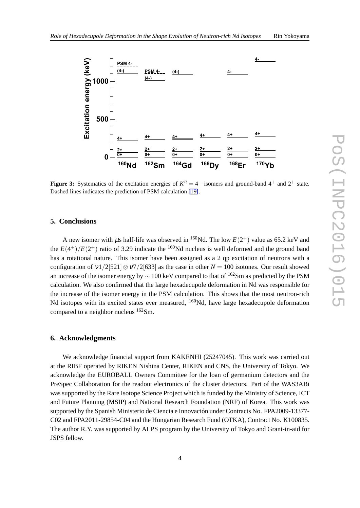<span id="page-7-0"></span>

**Figure 3:** Systematics of the excitation energies of  $K^{\pi} = 4^-$  isomers and ground-band  $4^+$  and  $2^+$  state. Dashed lines indicates the prediction of PSM calculation [\[19\]](#page-8-0).

#### **5. Conclusions**

A new isomer with  $\mu$ s half-life was observed in <sup>160</sup>Nd. The low  $E(2^+)$  value as 65.2 keV and the  $E(4^+)/E(2^+)$  ratio of 3.29 indicate the <sup>160</sup>Nd nucleus is well deformed and the ground band has a rotational nature. This isomer have been assigned as a 2 qp excitation of neutrons with a configuration of  $v1/2[521] \otimes v7/2[633]$  as the case in other  $N = 100$  isotones. Our result showed an increase of the isomer energy by *<sup>∼</sup>* <sup>100</sup> keV compared to that of <sup>162</sup>Sm as predicted by the PSM calculation. We also confirmed that the large hexadecupole deformation in Nd was responsible for the increase of the isomer energy in the PSM calculation. This shows that the most neutron-rich Nd isotopes with its excited states ever measured, <sup>160</sup>Nd, have large hexadecupole deformation compared to a neighbor nucleus <sup>162</sup>Sm.

#### **6. Acknowledgments**

We acknowledge financial support from KAKENHI (25247045). This work was carried out at the RIBF operated by RIKEN Nishina Center, RIKEN and CNS, the University of Tokyo. We acknowledge the EUROBALL Owners Committee for the loan of germanium detectors and the PreSpec Collaboration for the readout electronics of the cluster detectors. Part of the WAS3ABi was supported by the Rare Isotope Science Project which is funded by the Ministry of Science, ICT and Future Planning (MSIP) and National Research Foundation (NRF) of Korea. This work was supported by the Spanish Ministerio de Ciencia e Innovación under Contracts No. FPA2009-13377- C02 and FPA2011-29854-C04 and the Hungarian Research Fund (OTKA), Contract No. K100835. The author R.Y. was supported by ALPS program by the University of Tokyo and Grant-in-aid for JSPS fellow.